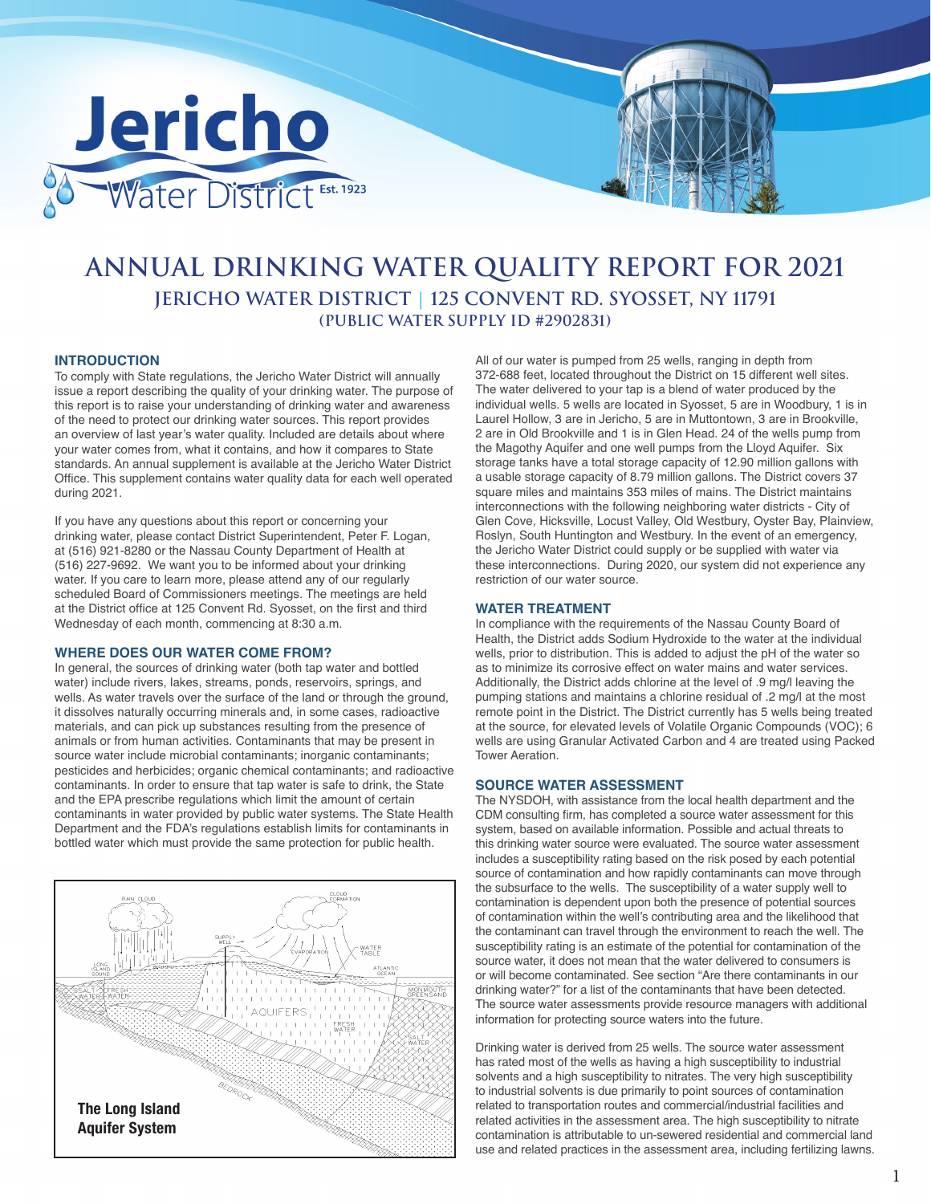

# **ANNUAL DRINKING WATER QUALITY REPORT FOR 2021 JERICHO WATER DISTRICT | 125 CONVENT RD. SYOSSET, NY 11791 (PUBLIC WATER SUPPLY ID #2902831)**

# **INTRODUCTION**

To comply with State regulations, the Jericho Water District will annually issue a report describing the quality of your drinking water. The purpose of this report is to raise your understanding of drinking water and awareness of the need to protect our drinking water sources. This report provides an overview of last year's water quality. Included are details about where your water comes from, what it contains, and how it compares to State standards. An annual supplement is available at the Jericho Water District Office. This supplement contains water quality data for each well operated during 2021.

If you have any questions about this report or concerning your drinking water, please contact District Superintendent, Peter F. Logan, at (516) 921-8280 or the Nassau County Department of Health at (516) 227-9692. We want you to be informed about your drinking water. If you care to learn more, please attend any of our regularly scheduled Board of Commissioners meetings. The meetings are held at the District office at 125 Convent Rd. Syosset, on the first and third Wednesday of each month, commencing at 8:30 a.m.

#### **WHERE DOES OUR WATER COME FROM?**

In general, the sources of drinking water (both tap water and bottled water) include rivers, lakes, streams, ponds, reservoirs, springs, and wells. As water travels over the surface of the land or through the ground, it dissolves naturally occurring minerals and, in some cases, radioactive materials, and can pick up substances resulting from the presence of animals or from human activities. Contaminants that may be present in source water include microbial contaminants; inorganic contaminants; pesticides and herbicides; organic chemical contaminants; and radioactive contaminants. In order to ensure that tap water is safe to drink, the State and the EPA prescribe regulations which limit the amount of certain contaminants in water provided by public water systems. The State Health Department and the FDA's regulations establish limits for contaminants in bottled water which must provide the same protection for public health.



All of our water is pumped from 25 wells, ranging in depth from 372-688 feet, located throughout the District on 15 different well sites. The water delivered to your tap is a blend of water produced by the individual wells. 5 wells are located in Syosset, 5 are in Woodbury, 1 is in Laurel Hollow, 3 are in Jericho, 5 are in Muttontown, 3 are in Brookville, 2 are in Old Brookville and 1 is in Glen Head. 24 of the wells pump from the Magothy Aquifer and one well pumps from the Lloyd Aquifer. Six storage tanks have a total storage capacity of 12.90 million gallons with a usable storage capacity of 8.79 million gallons. The District covers 37 square miles and maintains 353 miles of mains. The District maintains interconnections with the following neighboring water districts - City of Glen Cove, Hicksville, Locust Valley, Old Westbury, Oyster Bay, Plainview, Roslyn, South Huntington and Westbury. In the event of an emergency, the Jericho Water District could supply or be supplied with water via these interconnections. During 2020, our system did not experience any restriction of our water source.

## **WATER TREATMENT**

In compliance with the requirements of the Nassau County Board of Health, the District adds Sodium Hydroxide to the water at the individual wells, prior to distribution. This is added to adjust the pH of the water so as to minimize its corrosive effect on water mains and water services. Additionally, the District adds chlorine at the level of .9 mg/l leaving the pumping stations and maintains a chlorine residual of .2 mg/l at the most remote point in the District. The District currently has 5 wells being treated at the source, for elevated levels of Volatile Organic Compounds (VOC); 6 wells are using Granular Activated Carbon and 4 are treated using Packed Tower Aeration.

# **SOURCE WATER ASSESSMENT**

The NYSDOH, with assistance from the local health department and the CDM consulting firm, has completed a source water assessment for this system, based on available information. Possible and actual threats to this drinking water source were evaluated. The source water assessment includes a susceptibility rating based on the risk posed by each potential source of contamination and how rapidly contaminants can move through the subsurface to the wells. The susceptibility of a water supply well to contamination is dependent upon both the presence of potential sources of contamination within the well's contributing area and the likelihood that the contaminant can travel through the environment to reach the well. The susceptibility rating is an estimate of the potential for contamination of the source water, it does not mean that the water delivered to consumers is or will become contaminated. See section "Are there contaminants in our drinking water?" for a list of the contaminants that have been detected. The source water assessments provide resource managers with additional information for protecting source waters into the future.

Drinking water is derived from 25 wells. The source water assessment has rated most of the wells as having a high susceptibility to industrial solvents and a high susceptibility to nitrates. The very high susceptibility to industrial solvents is due primarily to point sources of contamination related to transportation routes and commercial/industrial facilities and related activities in the assessment area. The high susceptibility to nitrate contamination is attributable to un-sewered residential and commercial land use and related practices in the assessment area, including fertilizing lawns.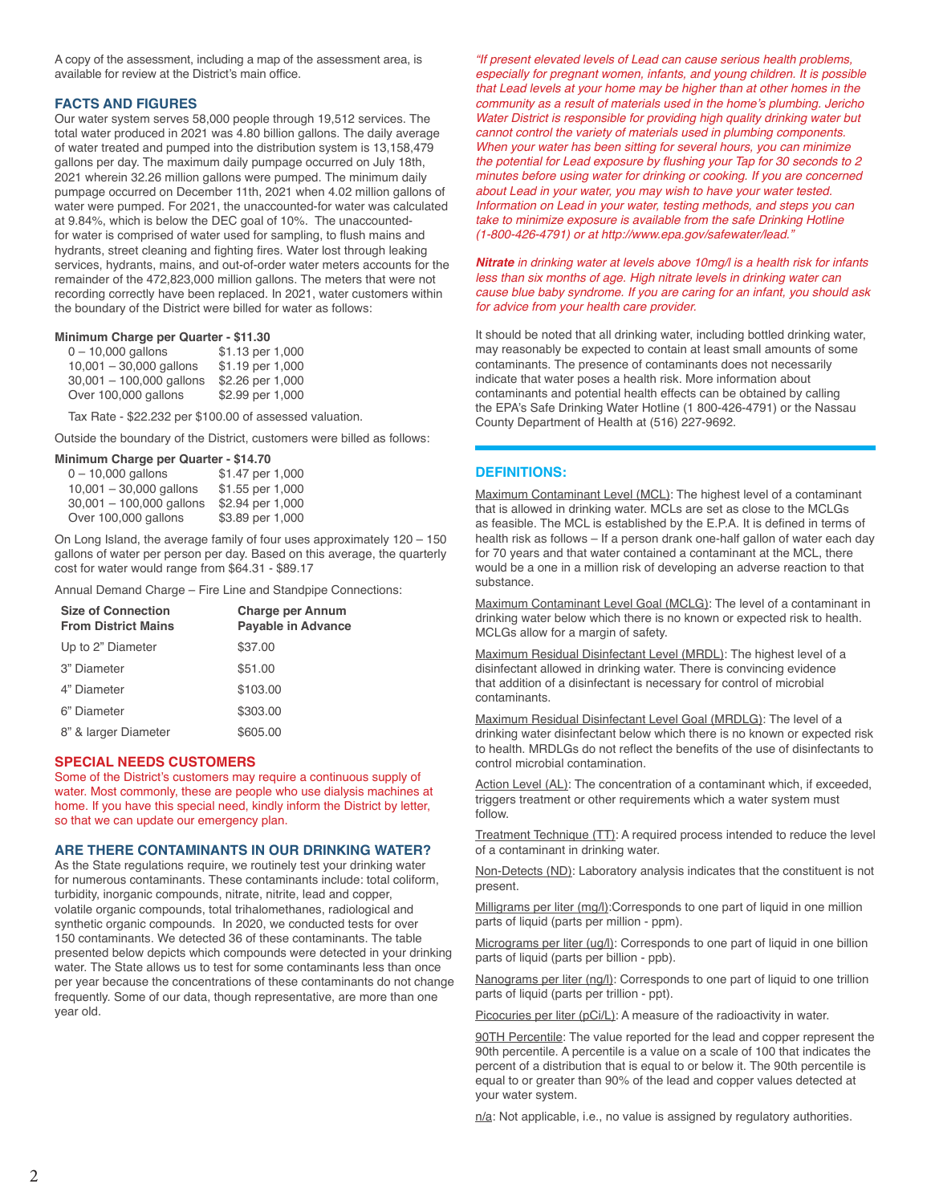A copy of the assessment, including a map of the assessment area, is available for review at the District's main office.

# **FACTS AND FIGURES**

Our water system serves 58,000 people through 19,512 services. The total water produced in 2021 was 4.80 billion gallons. The daily average of water treated and pumped into the distribution system is 13,158,479 gallons per day. The maximum daily pumpage occurred on July 18th, 2021 wherein 32.26 million gallons were pumped. The minimum daily pumpage occurred on December 11th, 2021 when 4.02 million gallons of water were pumped. For 2021, the unaccounted-for water was calculated at 9.84%, which is below the DEC goal of 10%. The unaccountedfor water is comprised of water used for sampling, to flush mains and hydrants, street cleaning and fighting fires. Water lost through leaking services, hydrants, mains, and out-of-order water meters accounts for the remainder of the 472,823,000 million gallons. The meters that were not recording correctly have been replaced. In 2021, water customers within the boundary of the District were billed for water as follows:

#### **Minimum Charge per Quarter - \$11.30**

| $0 - 10,000$ gallons       | \$1.13 per 1,000 |
|----------------------------|------------------|
| $10,001 - 30,000$ gallons  | \$1.19 per 1,000 |
| $30,001 - 100,000$ gallons | \$2.26 per 1,000 |
| Over 100,000 gallons       | \$2.99 per 1,000 |

Tax Rate - \$22.232 per \$100.00 of assessed valuation.

Outside the boundary of the District, customers were billed as follows:

#### **Minimum Charge per Quarter - \$14.70**

| \$1.47 per 1,000 |
|------------------|
| \$1.55 per 1,000 |
| \$2.94 per 1,000 |
| \$3.89 per 1,000 |
|                  |

On Long Island, the average family of four uses approximately 120 – 150 gallons of water per person per day. Based on this average, the quarterly cost for water would range from \$64.31 - \$89.17

Annual Demand Charge – Fire Line and Standpipe Connections:

| <b>Size of Connection</b><br><b>From District Mains</b> | <b>Charge per Annum</b><br><b>Payable in Advance</b> |  |  |
|---------------------------------------------------------|------------------------------------------------------|--|--|
| Up to 2" Diameter                                       | \$37.00                                              |  |  |
| 3" Diameter                                             | \$51.00                                              |  |  |
| 4" Diameter                                             | \$103.00                                             |  |  |
| 6" Diameter                                             | \$303.00                                             |  |  |
| 8" & larger Diameter                                    | \$605.00                                             |  |  |

# **SPECIAL NEEDS CUSTOMERS**

Some of the District's customers may require a continuous supply of water. Most commonly, these are people who use dialysis machines at home. If you have this special need, kindly inform the District by letter, so that we can update our emergency plan.

## **ARE THERE CONTAMINANTS IN OUR DRINKING WATER?**

As the State regulations require, we routinely test your drinking water for numerous contaminants. These contaminants include: total coliform, turbidity, inorganic compounds, nitrate, nitrite, lead and copper, volatile organic compounds, total trihalomethanes, radiological and synthetic organic compounds. In 2020, we conducted tests for over 150 contaminants. We detected 36 of these contaminants. The table presented below depicts which compounds were detected in your drinking water. The State allows us to test for some contaminants less than once per year because the concentrations of these contaminants do not change frequently. Some of our data, though representative, are more than one year old.

*"If present elevated levels of Lead can cause serious health problems, especially for pregnant women, infants, and young children. It is possible that Lead levels at your home may be higher than at other homes in the*  community as a result of materials used in the home's plumbing. Jericho *Water District is responsible for providing high quality drinking water but cannot control the variety of materials used in plumbing components. When your water has been sitting for several hours, you can minimize*  the potential for Lead exposure by flushing your Tap for 30 seconds to 2 *minutes before using water for drinking or cooking. If you are concerned about Lead in your water, you may wish to have your water tested. Information on Lead in your water, testing methods, and steps you can take to minimize exposure is available from the safe Drinking Hotline*  (1-800-426-4791) or at http://www.epa.gov/safewater/lead."

#### **Nitrate** in drinking water at levels above 10mg/l is a health risk for infants *less than six months of age. High nitrate levels in drinking water can cause blue baby syndrome. If you are caring for an infant, you should ask for advice from your health care provider.*

It should be noted that all drinking water, including bottled drinking water, may reasonably be expected to contain at least small amounts of some contaminants. The presence of contaminants does not necessarily indicate that water poses a health risk. More information about contaminants and potential health effects can be obtained by calling the EPA's Safe Drinking Water Hotline (1 800-426-4791) or the Nassau County Department of Health at (516) 227-9692.

# **DEFINITIONS:**

Maximum Contaminant Level (MCL): The highest level of a contaminant that is allowed in drinking water. MCLs are set as close to the MCLGs as feasible. The MCL is established by the E.P.A. It is defined in terms of health risk as follows – If a person drank one-half gallon of water each day for 70 years and that water contained a contaminant at the MCL, there would be a one in a million risk of developing an adverse reaction to that substance.

Maximum Contaminant Level Goal (MCLG): The level of a contaminant in drinking water below which there is no known or expected risk to health. MCLGs allow for a margin of safety.

Maximum Residual Disinfectant Level (MRDL): The highest level of a disinfectant allowed in drinking water. There is convincing evidence that addition of a disinfectant is necessary for control of microbial contaminants.

Maximum Residual Disinfectant Level Goal (MRDLG): The level of a drinking water disinfectant below which there is no known or expected risk to health. MRDLGs do not reflect the benefits of the use of disinfectants to control microbial contamination.

Action Level (AL): The concentration of a contaminant which, if exceeded, triggers treatment or other requirements which a water system must follow.

Treatment Technique (TT): A required process intended to reduce the level of a contaminant in drinking water.

Non-Detects (ND): Laboratory analysis indicates that the constituent is not present.

Milligrams per liter (mg/l):Corresponds to one part of liquid in one million parts of liquid (parts per million - ppm).

Micrograms per liter (ug/l): Corresponds to one part of liquid in one billion parts of liquid (parts per billion - ppb).

Nanograms per liter (ng/l): Corresponds to one part of liquid to one trillion parts of liquid (parts per trillion - ppt).

Picocuries per liter (pCi/L): A measure of the radioactivity in water.

90TH Percentile: The value reported for the lead and copper represent the 90th percentile. A percentile is a value on a scale of 100 that indicates the percent of a distribution that is equal to or below it. The 90th percentile is equal to or greater than 90% of the lead and copper values detected at your water system.

n/a: Not applicable, i.e., no value is assigned by regulatory authorities.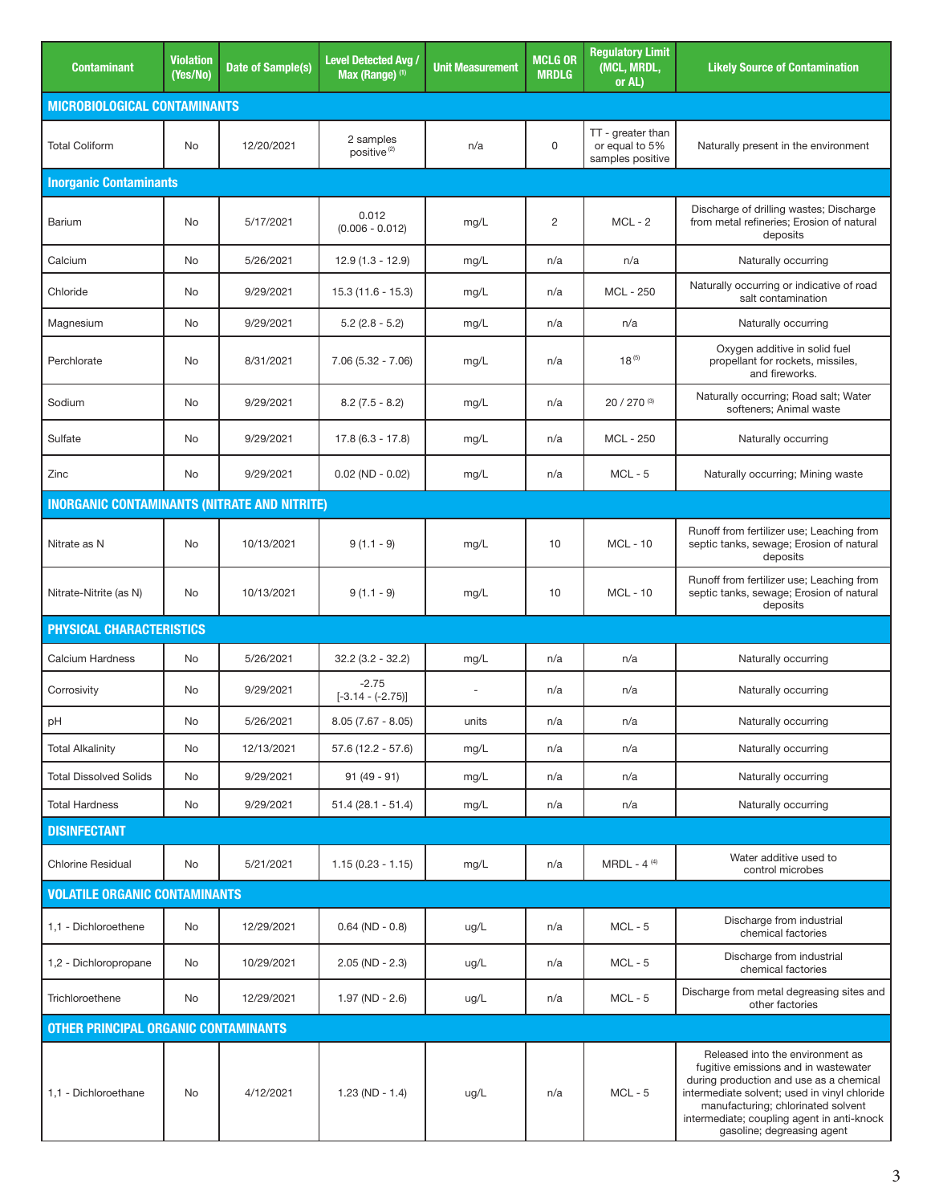| <b>Contaminant</b>                                  | <b>Violation</b><br>(Yes/No) | Date of Sample(s) | <b>Level Detected Avg.</b><br>Max (Range) (1) | <b>Unit Measurement</b> | <b>MCLG OR</b><br><b>MRDLG</b> | <b>Regulatory Limit</b><br>(MCL, MRDL,<br>or AL)        | <b>Likely Source of Contamination</b>                                                                                                                                                                                                                                                 |
|-----------------------------------------------------|------------------------------|-------------------|-----------------------------------------------|-------------------------|--------------------------------|---------------------------------------------------------|---------------------------------------------------------------------------------------------------------------------------------------------------------------------------------------------------------------------------------------------------------------------------------------|
| <b>MICROBIOLOGICAL CONTAMINANTS</b>                 |                              |                   |                                               |                         |                                |                                                         |                                                                                                                                                                                                                                                                                       |
| <b>Total Coliform</b>                               | No                           | 12/20/2021        | 2 samples<br>positive <sup>(2)</sup>          | n/a                     | 0                              | TT - greater than<br>or equal to 5%<br>samples positive | Naturally present in the environment                                                                                                                                                                                                                                                  |
| <b>Inorganic Contaminants</b>                       |                              |                   |                                               |                         |                                |                                                         |                                                                                                                                                                                                                                                                                       |
| Barium                                              | No                           | 5/17/2021         | 0.012<br>$(0.006 - 0.012)$                    | mg/L                    | 2                              | $MCL - 2$                                               | Discharge of drilling wastes; Discharge<br>from metal refineries; Erosion of natural<br>deposits                                                                                                                                                                                      |
| Calcium                                             | No                           | 5/26/2021         | $12.9(1.3 - 12.9)$                            | mg/L                    | n/a                            | n/a                                                     | Naturally occurring                                                                                                                                                                                                                                                                   |
| Chloride                                            | No                           | 9/29/2021         | $15.3(11.6 - 15.3)$                           | mg/L                    | n/a                            | MCL - 250                                               | Naturally occurring or indicative of road<br>salt contamination                                                                                                                                                                                                                       |
| Magnesium                                           | No                           | 9/29/2021         | $5.2$ (2.8 - 5.2)                             | mg/L                    | n/a                            | n/a                                                     | Naturally occurring                                                                                                                                                                                                                                                                   |
| Perchlorate                                         | No                           | 8/31/2021         | $7.06(5.32 - 7.06)$                           | mg/L                    | n/a                            | $18^{(5)}$                                              | Oxygen additive in solid fuel<br>propellant for rockets, missiles,<br>and fireworks.                                                                                                                                                                                                  |
| Sodium                                              | No                           | 9/29/2021         | $8.2(7.5 - 8.2)$                              | mg/L                    | n/a                            | 20 / 270 (3)                                            | Naturally occurring; Road salt; Water<br>softeners: Animal waste                                                                                                                                                                                                                      |
| Sulfate                                             | No                           | 9/29/2021         | $17.8(6.3 - 17.8)$                            | mg/L                    | n/a                            | <b>MCL - 250</b>                                        | Naturally occurring                                                                                                                                                                                                                                                                   |
| Zinc                                                | No                           | 9/29/2021         | $0.02$ (ND - 0.02)                            | mg/L                    | n/a                            | $MCL - 5$                                               | Naturally occurring; Mining waste                                                                                                                                                                                                                                                     |
| <b>INORGANIC CONTAMINANTS (NITRATE AND NITRITE)</b> |                              |                   |                                               |                         |                                |                                                         |                                                                                                                                                                                                                                                                                       |
| Nitrate as N                                        | No                           | 10/13/2021        | $9(1.1 - 9)$                                  | mg/L                    | 10                             | <b>MCL - 10</b>                                         | Runoff from fertilizer use; Leaching from<br>septic tanks, sewage; Erosion of natural<br>deposits                                                                                                                                                                                     |
| Nitrate-Nitrite (as N)                              | No                           | 10/13/2021        | $9(1.1 - 9)$                                  | mg/L                    | 10                             | <b>MCL - 10</b>                                         | Runoff from fertilizer use; Leaching from<br>septic tanks, sewage; Erosion of natural<br>deposits                                                                                                                                                                                     |
| <b>PHYSICAL CHARACTERISTICS</b>                     |                              |                   |                                               |                         |                                |                                                         |                                                                                                                                                                                                                                                                                       |
| Calcium Hardness                                    | No                           | 5/26/2021         | $32.2(3.2 - 32.2)$                            | mg/L                    | n/a                            | n/a                                                     | Naturally occurring                                                                                                                                                                                                                                                                   |
| Corrosivity                                         | No                           | 9/29/2021         | $-2.75$<br>$[-3.14 - (-2.75)]$                | ÷,                      | n/a                            | n/a                                                     | Naturally occurring                                                                                                                                                                                                                                                                   |
| рH                                                  | No                           | 5/26/2021         | $8.05(7.67 - 8.05)$                           | units                   | n/a                            | n/a                                                     | Naturally occurring                                                                                                                                                                                                                                                                   |
| <b>Total Alkalinity</b>                             | No                           | 12/13/2021        | $57.6(12.2 - 57.6)$                           | mg/L                    | n/a                            | n/a                                                     | Naturally occurring                                                                                                                                                                                                                                                                   |
| <b>Total Dissolved Solids</b>                       | No                           | 9/29/2021         | $91(49-91)$                                   | mg/L                    | n/a                            | n/a                                                     | Naturally occurring                                                                                                                                                                                                                                                                   |
| <b>Total Hardness</b>                               | No                           | 9/29/2021         | $51.4(28.1 - 51.4)$                           | mg/L                    | n/a                            | n/a                                                     | Naturally occurring                                                                                                                                                                                                                                                                   |
| <b>DISINFECTANT</b>                                 |                              |                   |                                               |                         |                                |                                                         |                                                                                                                                                                                                                                                                                       |
| <b>Chlorine Residual</b>                            | No                           | 5/21/2021         | $1.15(0.23 - 1.15)$                           | mg/L                    | n/a                            | $MRDL - 4(4)$                                           | Water additive used to<br>control microbes                                                                                                                                                                                                                                            |
| <b>VOLATILE ORGANIC CONTAMINANTS</b>                |                              |                   |                                               |                         |                                |                                                         |                                                                                                                                                                                                                                                                                       |
| 1,1 - Dichloroethene                                | No                           | 12/29/2021        | $0.64$ (ND - 0.8)                             | ug/L                    | n/a                            | $MCL - 5$                                               | Discharge from industrial<br>chemical factories                                                                                                                                                                                                                                       |
| 1,2 - Dichloropropane                               | No                           | 10/29/2021        | $2.05$ (ND - $2.3$ )                          | ug/L                    | n/a                            | $MCL - 5$                                               | Discharge from industrial<br>chemical factories                                                                                                                                                                                                                                       |
| Trichloroethene                                     | No                           | 12/29/2021        | $1.97 (ND - 2.6)$                             | ug/L                    | n/a                            | $MCL - 5$                                               | Discharge from metal degreasing sites and<br>other factories                                                                                                                                                                                                                          |
| <b>OTHER PRINCIPAL ORGANIC CONTAMINANTS</b>         |                              |                   |                                               |                         |                                |                                                         |                                                                                                                                                                                                                                                                                       |
| 1,1 - Dichloroethane                                | No                           | 4/12/2021         | $1.23$ (ND - 1.4)                             | ug/L                    | n/a                            | $MCL - 5$                                               | Released into the environment as<br>fugitive emissions and in wastewater<br>during production and use as a chemical<br>intermediate solvent; used in vinyl chloride<br>manufacturing; chlorinated solvent<br>intermediate; coupling agent in anti-knock<br>gasoline; degreasing agent |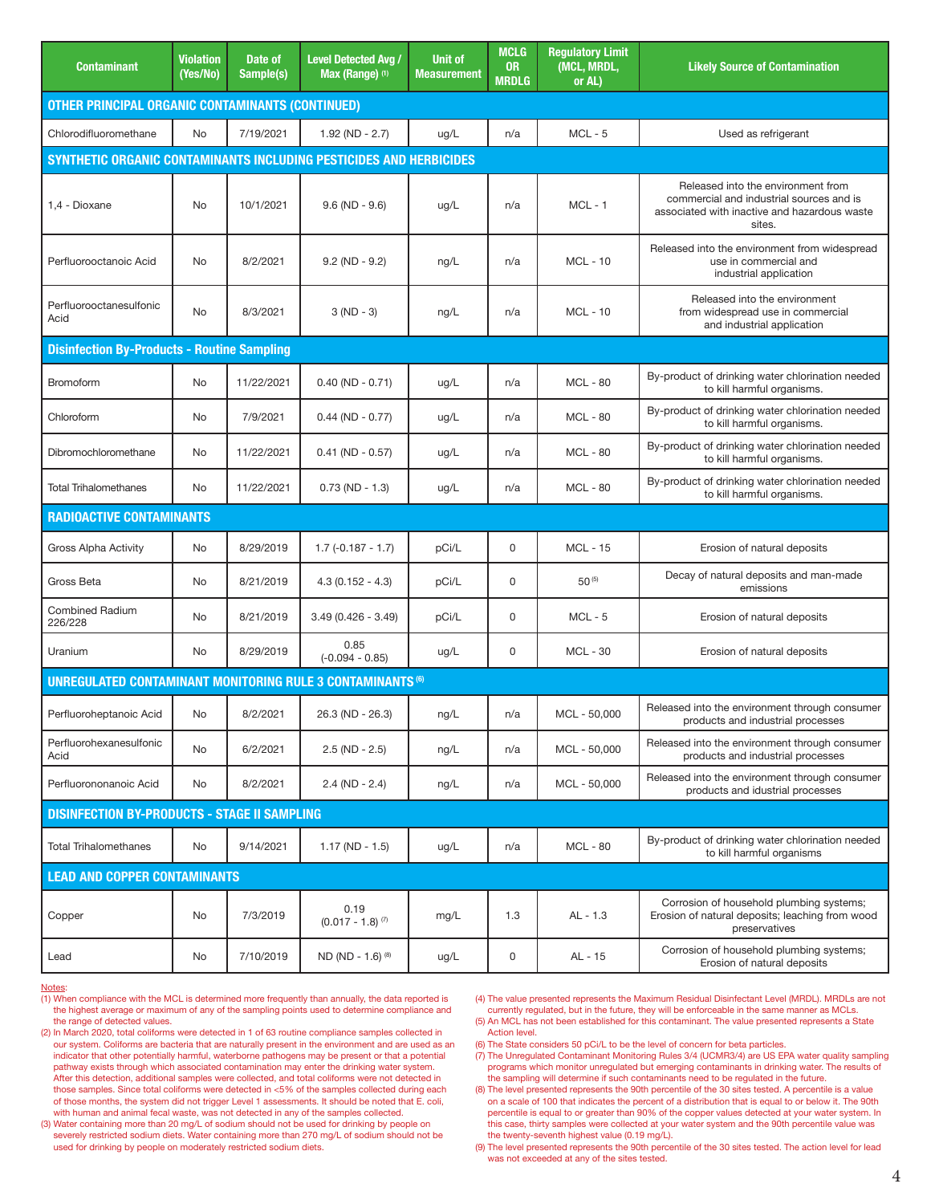| <b>Contaminant</b>                                                 | <b>Violation</b><br>(Yes/No) | Date of<br>Sample(s) | <b>Level Detected Avg /</b><br>Max (Range) (1) | <b>Unit of</b><br><b>Measurement</b> | <b>MCLG</b><br><b>OR</b><br><b>MRDLG</b> | <b>Requlatory Limit</b><br>(MCL, MRDL,<br>or AL) | <b>Likely Source of Contamination</b>                                                                                                    |
|--------------------------------------------------------------------|------------------------------|----------------------|------------------------------------------------|--------------------------------------|------------------------------------------|--------------------------------------------------|------------------------------------------------------------------------------------------------------------------------------------------|
| <b>OTHER PRINCIPAL ORGANIC CONTAMINANTS (CONTINUED)</b>            |                              |                      |                                                |                                      |                                          |                                                  |                                                                                                                                          |
| Chlorodifluoromethane                                              | No                           | 7/19/2021            | $1.92$ (ND - 2.7)                              | ug/L                                 | n/a                                      | $MCL - 5$                                        | Used as refrigerant                                                                                                                      |
| SYNTHETIC ORGANIC CONTAMINANTS INCLUDING PESTICIDES AND HERBICIDES |                              |                      |                                                |                                      |                                          |                                                  |                                                                                                                                          |
| 1.4 - Dioxane                                                      | No                           | 10/1/2021            | $9.6$ (ND - $9.6$ )                            | ug/L                                 | n/a                                      | $MCL - 1$                                        | Released into the environment from<br>commercial and industrial sources and is<br>associated with inactive and hazardous waste<br>sites. |
| Perfluorooctanoic Acid                                             | No                           | 8/2/2021             | $9.2 (ND - 9.2)$                               | ng/L                                 | n/a                                      | $MCL - 10$                                       | Released into the environment from widespread<br>use in commercial and<br>industrial application                                         |
| Perfluorooctanesulfonic<br>Acid                                    | No                           | 8/3/2021             | $3 (ND - 3)$                                   | ng/L                                 | n/a                                      | <b>MCL - 10</b>                                  | Released into the environment<br>from widespread use in commercial<br>and industrial application                                         |
| <b>Disinfection By-Products - Routine Sampling</b>                 |                              |                      |                                                |                                      |                                          |                                                  |                                                                                                                                          |
| <b>Bromoform</b>                                                   | No                           | 11/22/2021           | $0.40$ (ND - 0.71)                             | ug/L                                 | n/a                                      | <b>MCL - 80</b>                                  | By-product of drinking water chlorination needed<br>to kill harmful organisms.                                                           |
| Chloroform                                                         | No                           | 7/9/2021             | $0.44$ (ND - 0.77)                             | ug/L                                 | n/a                                      | <b>MCL - 80</b>                                  | By-product of drinking water chlorination needed<br>to kill harmful organisms.                                                           |
| Dibromochloromethane                                               | No                           | 11/22/2021           | $0.41$ (ND - $0.57$ )                          | ug/L                                 | n/a                                      | <b>MCL - 80</b>                                  | By-product of drinking water chlorination needed<br>to kill harmful organisms.                                                           |
| <b>Total Trihalomethanes</b>                                       | No                           | 11/22/2021           | $0.73$ (ND - 1.3)                              | ug/L                                 | n/a                                      | <b>MCL - 80</b>                                  | By-product of drinking water chlorination needed<br>to kill harmful organisms.                                                           |
| <b>RADIOACTIVE CONTAMINANTS</b>                                    |                              |                      |                                                |                                      |                                          |                                                  |                                                                                                                                          |
| Gross Alpha Activity                                               | No                           | 8/29/2019            | $1.7(-0.187 - 1.7)$                            | pCi/L                                | 0                                        | <b>MCL - 15</b>                                  | Erosion of natural deposits                                                                                                              |
| Gross Beta                                                         | No                           | 8/21/2019            | $4.3(0.152 - 4.3)$                             | pCi/L                                | 0                                        | 50(5)                                            | Decay of natural deposits and man-made<br>emissions                                                                                      |
| <b>Combined Radium</b><br>226/228                                  | No                           | 8/21/2019            | $3.49(0.426 - 3.49)$                           | pCi/L                                | $\mathbf 0$                              | $MCL - 5$                                        | Erosion of natural deposits                                                                                                              |
| Uranium                                                            | No                           | 8/29/2019            | 0.85<br>$(-0.094 - 0.85)$                      | ug/L                                 | 0                                        | <b>MCL - 30</b>                                  | Erosion of natural deposits                                                                                                              |
| <b>UNREGULATED CONTAMINANT MONITORING RULE 3 CONTAMINANTS (6)</b>  |                              |                      |                                                |                                      |                                          |                                                  |                                                                                                                                          |
| Perfluoroheptanoic Acid                                            | No                           | 8/2/2021             | 26.3 (ND - 26.3)                               | ng/L                                 | n/a                                      | MCL - 50,000                                     | Released into the environment through consumer<br>products and industrial processes                                                      |
| Perfluorohexanesulfonic<br>Acid                                    | No                           | 6/2/2021             | $2.5 (ND - 2.5)$                               | ng/L                                 | n/a                                      | MCL - 50,000                                     | Released into the environment through consumer<br>products and industrial processes                                                      |
| Perfluorononanoic Acid                                             | No                           | 8/2/2021             | $2.4 (ND - 2.4)$                               | ng/L                                 | n/a                                      | MCL - 50,000                                     | Released into the environment through consumer<br>products and idustrial processes                                                       |
| <b>DISINFECTION BY-PRODUCTS - STAGE II SAMPLING</b>                |                              |                      |                                                |                                      |                                          |                                                  |                                                                                                                                          |
| <b>Total Trihalomethanes</b>                                       | No                           | 9/14/2021            | $1.17 (ND - 1.5)$                              | ug/L                                 | n/a                                      | <b>MCL - 80</b>                                  | By-product of drinking water chlorination needed<br>to kill harmful organisms                                                            |
| <b>LEAD AND COPPER CONTAMINANTS</b>                                |                              |                      |                                                |                                      |                                          |                                                  |                                                                                                                                          |
| Copper                                                             | No                           | 7/3/2019             | 0.19<br>$(0.017 - 1.8)^{(7)}$                  | mg/L                                 | 1.3                                      | $AL - 1.3$                                       | Corrosion of household plumbing systems;<br>Erosion of natural deposits; leaching from wood<br>preservatives                             |
| Lead                                                               | No                           | 7/10/2019            | ND (ND - 1.6) (8)                              | ug/L                                 | 0                                        | AL - 15                                          | Corrosion of household plumbing systems;<br>Erosion of natural deposits                                                                  |

#### Notes:

- (1) When compliance with the MCL is determined more frequently than annually, the data reported is the highest average or maximum of any of the sampling points used to determine compliance and the range of detected values.
- (2) In March 2020, total coliforms were detected in 1 of 63 routine compliance samples collected in our system. Coliforms are bacteria that are naturally present in the environment and are used as an indicator that other potentially harmful, waterborne pathogens may be present or that a potential pathway exists through which associated contamination may enter the drinking water system. After this detection, additional samples were collected, and total coliforms were not detected in those samples. Since total coliforms were detected in <5% of the samples collected during each of those months, the system did not trigger Level 1 assessments. It should be noted that E. coli, with human and animal fecal waste, was not detected in any of the samples collected.
- (3) Water containing more than 20 mg/L of sodium should not be used for drinking by people on severely restricted sodium diets. Water containing more than 270 mg/L of sodium should not be used for drinking by people on moderately restricted sodium diets.

(4) The value presented represents the Maximum Residual Disinfectant Level (MRDL). MRDLs are not currently regulated, but in the future, they will be enforceable in the same manner as MCLs.

- (5) An MCL has not been established for this contaminant. The value presented represents a State Action level.
- (6) The State considers 50 pCi/L to be the level of concern for beta particles.
- (7) The Unregulated Contaminant Monitoring Rules 3/4 (UCMR3/4) are US EPA water quality sampling programs which monitor unregulated but emerging contaminants in drinking water. The results of the sampling will determine if such contaminants need to be regulated in the future.
- (8) The level presented represents the 90th percentile of the 30 sites tested. A percentile is a value on a scale of 100 that indicates the percent of a distribution that is equal to or below it. The 90th percentile is equal to or greater than 90% of the copper values detected at your water system. In this case, thirty samples were collected at your water system and the 90th percentile value was the twenty-seventh highest value (0.19 mg/L).

(9) The level presented represents the 90th percentile of the 30 sites tested. The action level for lead was not exceeded at any of the sites tested.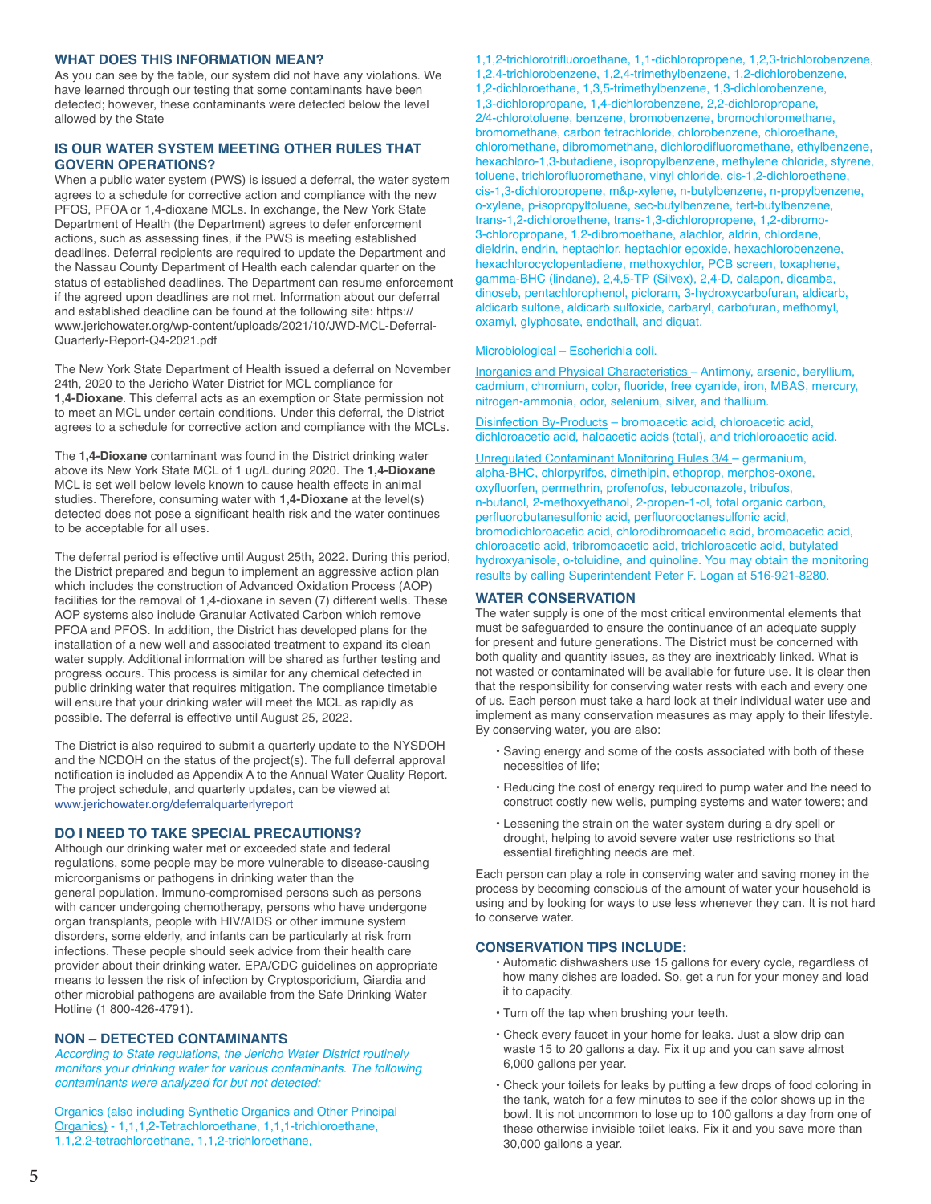## **WHAT DOES THIS INFORMATION MEAN?**

As you can see by the table, our system did not have any violations. We have learned through our testing that some contaminants have been detected; however, these contaminants were detected below the level allowed by the State

# **IS OUR WATER SYSTEM MEETING OTHER RULES THAT GOVERN OPERATIONS?**

When a public water system (PWS) is issued a deferral, the water system agrees to a schedule for corrective action and compliance with the new PFOS, PFOA or 1,4-dioxane MCLs. In exchange, the New York State Department of Health (the Department) agrees to defer enforcement actions, such as assessing fines, if the PWS is meeting established deadlines. Deferral recipients are required to update the Department and the Nassau County Department of Health each calendar quarter on the status of established deadlines. The Department can resume enforcement if the agreed upon deadlines are not met. Information about our deferral and established deadline can be found at the following site: https:// www.jerichowater.org/wp-content/uploads/2021/10/JWD-MCL-Deferral-Quarterly-Report-Q4-2021.pdf

The New York State Department of Health issued a deferral on November 24th, 2020 to the Jericho Water District for MCL compliance for **1,4-Dioxane**. This deferral acts as an exemption or State permission not to meet an MCL under certain conditions. Under this deferral, the District agrees to a schedule for corrective action and compliance with the MCLs.

The **1,4-Dioxane** contaminant was found in the District drinking water above its New York State MCL of 1 ug/L during 2020. The **1,4-Dioxane** MCL is set well below levels known to cause health effects in animal studies. Therefore, consuming water with **1,4-Dioxane** at the level(s) detected does not pose a significant health risk and the water continues to be acceptable for all uses.

The deferral period is effective until August 25th, 2022. During this period, the District prepared and begun to implement an aggressive action plan which includes the construction of Advanced Oxidation Process (AOP) facilities for the removal of 1,4-dioxane in seven (7) different wells. These AOP systems also include Granular Activated Carbon which remove PFOA and PFOS. In addition, the District has developed plans for the installation of a new well and associated treatment to expand its clean water supply. Additional information will be shared as further testing and progress occurs. This process is similar for any chemical detected in public drinking water that requires mitigation. The compliance timetable will ensure that your drinking water will meet the MCL as rapidly as possible. The deferral is effective until August 25, 2022.

The District is also required to submit a quarterly update to the NYSDOH and the NCDOH on the status of the project(s). The full deferral approval notification is included as Appendix A to the Annual Water Quality Report. The project schedule, and quarterly updates, can be viewed at www.jerichowater.org/deferralquarterlyreport

# **DO I NEED TO TAKE SPECIAL PRECAUTIONS?**

Although our drinking water met or exceeded state and federal regulations, some people may be more vulnerable to disease-causing microorganisms or pathogens in drinking water than the general population. Immuno-compromised persons such as persons with cancer undergoing chemotherapy, persons who have undergone organ transplants, people with HIV/AIDS or other immune system disorders, some elderly, and infants can be particularly at risk from infections. These people should seek advice from their health care provider about their drinking water. EPA/CDC guidelines on appropriate means to lessen the risk of infection by Cryptosporidium, Giardia and other microbial pathogens are available from the Safe Drinking Water Hotline (1 800-426-4791).

# **NON – DETECTED CONTAMINANTS**

According to State regulations, the Jericho Water District routinely monitors your drinking water for various contaminants. The following contaminants were analyzed for but not detected:

Organics (also including Synthetic Organics and Other Principal Organics) - 1,1,1,2-Tetrachloroethane, 1,1,1-trichloroethane, 1,1,2,2-tetrachloroethane, 1,1,2-trichloroethane,

1,1,2-trichlorotrifluoroethane, 1,1-dichloropropene, 1,2,3-trichlorobenzene, 1,2,4-trichlorobenzene, 1,2,4-trimethylbenzene, 1,2-dichlorobenzene, 1,2-dichloroethane, 1,3,5-trimethylbenzene, 1,3-dichlorobenzene, 1,3-dichloropropane, 1,4-dichlorobenzene, 2,2-dichloropropane, 2/4-chlorotoluene, benzene, bromobenzene, bromochloromethane, bromomethane, carbon tetrachloride, chlorobenzene, chloroethane, chloromethane, dibromomethane, dichlorodifluoromethane, ethylbenzene, hexachloro-1,3-butadiene, isopropylbenzene, methylene chloride, styrene, toluene, trichlorofluoromethane, vinyl chloride, cis-1,2-dichloroethene, cis-1,3-dichloropropene, m&p-xylene, n-butylbenzene, n-propylbenzene, o-xylene, p-isopropyltoluene, sec-butylbenzene, tert-butylbenzene, trans-1,2-dichloroethene, trans-1,3-dichloropropene, 1,2-dibromo-3-chloropropane, 1,2-dibromoethane, alachlor, aldrin, chlordane, dieldrin, endrin, heptachlor, heptachlor epoxide, hexachlorobenzene, hexachlorocyclopentadiene, methoxychlor, PCB screen, toxaphene, gamma-BHC (lindane), 2,4,5-TP (Silvex), 2,4-D, dalapon, dicamba, dinoseb, pentachlorophenol, picloram, 3-hydroxycarbofuran, aldicarb, aldicarb sulfone, aldicarb sulfoxide, carbaryl, carbofuran, methomyl, oxamyl, glyphosate, endothall, and diquat.

# Microbiological – Escherichia coli.

Inorganics and Physical Characteristics – Antimony, arsenic, beryllium, cadmium, chromium, color, fluoride, free cyanide, iron, MBAS, mercury, nitrogen-ammonia, odor, selenium, silver, and thallium.

Disinfection By-Products – bromoacetic acid, chloroacetic acid, dichloroacetic acid, haloacetic acids (total), and trichloroacetic acid.

Unregulated Contaminant Monitoring Rules 3/4 – germanium, alpha-BHC, chlorpyrifos, dimethipin, ethoprop, merphos-oxone, oxyfluorfen, permethrin, profenofos, tebuconazole, tribufos, n-butanol, 2-methoxyethanol, 2-propen-1-ol, total organic carbon, perfluorobutanesulfonic acid, perfluorooctanesulfonic acid, bromodichloroacetic acid, chlorodibromoacetic acid, bromoacetic acid, chloroacetic acid, tribromoacetic acid, trichloroacetic acid, butylated hydroxyanisole, o-toluidine, and quinoline. You may obtain the monitoring results by calling Superintendent Peter F. Logan at 516-921-8280.

## **WATER CONSERVATION**

The water supply is one of the most critical environmental elements that must be safeguarded to ensure the continuance of an adequate supply for present and future generations. The District must be concerned with both quality and quantity issues, as they are inextricably linked. What is not wasted or contaminated will be available for future use. It is clear then that the responsibility for conserving water rests with each and every one of us. Each person must take a hard look at their individual water use and implement as many conservation measures as may apply to their lifestyle. By conserving water, you are also:

- Saving energy and some of the costs associated with both of these necessities of life;
- Reducing the cost of energy required to pump water and the need to construct costly new wells, pumping systems and water towers; and
- Lessening the strain on the water system during a dry spell or drought, helping to avoid severe water use restrictions so that essential firefighting needs are met.

Each person can play a role in conserving water and saving money in the process by becoming conscious of the amount of water your household is using and by looking for ways to use less whenever they can. It is not hard to conserve water.

## **CONSERVATION TIPS INCLUDE:**

- Automatic dishwashers use 15 gallons for every cycle, regardless of how many dishes are loaded. So, get a run for your money and load it to capacity.
- Turn off the tap when brushing your teeth.
- Check every faucet in your home for leaks. Just a slow drip can waste 15 to 20 gallons a day. Fix it up and you can save almost 6,000 gallons per year.
- Check your toilets for leaks by putting a few drops of food coloring in the tank, watch for a few minutes to see if the color shows up in the bowl. It is not uncommon to lose up to 100 gallons a day from one of these otherwise invisible toilet leaks. Fix it and you save more than 30,000 gallons a year.